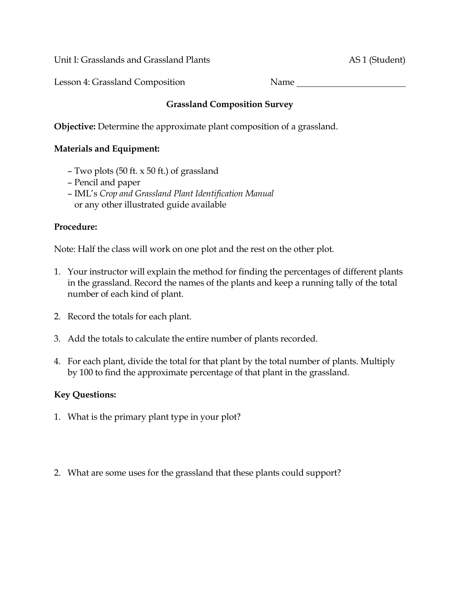Unit I: Grasslands and Grassland Plants AS 1 (Student)

Lesson 4: Grassland Composition Name

## **Grassland Composition Survey**

**Objective:** Determine the approximate plant composition of a grassland.

## **Materials and Equipment:**

- Two plots (50 ft. x 50 ft.) of grassland
- Pencil and paper
- IML's *Crop and Grassland Plant Identification Manual*  or any other illustrated guide available

## **Procedure:**

Note: Half the class will work on one plot and the rest on the other plot.

- 1. Your instructor will explain the method for finding the percentages of different plants in the grassland. Record the names of the plants and keep a running tally of the total number of each kind of plant.
- 2. Record the totals for each plant.
- 3. Add the totals to calculate the entire number of plants recorded.
- 4. For each plant, divide the total for that plant by the total number of plants. Multiply by 100 to find the approximate percentage of that plant in the grassland.

## **Key Questions:**

- 1. What is the primary plant type in your plot?
- 2. What are some uses for the grassland that these plants could support?